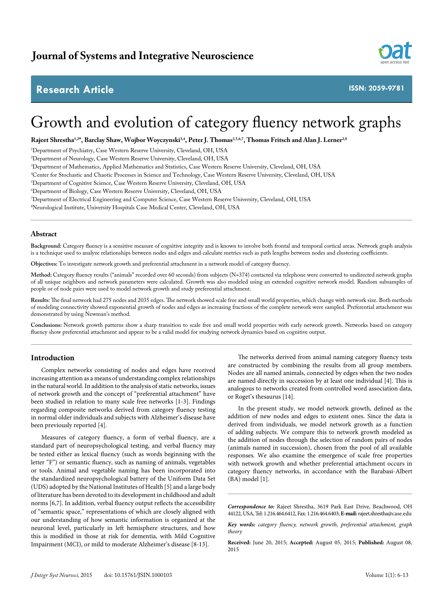# **Research Article**



**ISSN: 2059-9781**

# Growth and evolution of category fluency network graphs

Rajeet Shrestha<sup>1,2\*</sup>, Barclay Shaw, Wojbor Woyczynski<sup>3,4</sup>, Peter J. Thomas<sup>3,5,6,7</sup>, Thomas Fritsch and Alan J. Lerner<sup>2,8</sup>

1 Department of Psychiatry, Case Western Reserve University, Cleveland, OH, USA

2 Department of Neurology, Case Western Reserve University, Cleveland, OH, USA

3 Department of Mathematics, Applied Mathematics and Statistics, Case Western Reserve University, Cleveland, OH, USA

4 Center for Stochastic and Chaotic Processes in Science and Technology, Case Western Reserve University, Cleveland, OH, USA

5 Department of Cognitive Science, Case Western Reserve University, Cleveland, OH, USA

6 Department of Biology, Case Western Reserve University, Cleveland, OH, USA

7 Department of Electrical Engineering and Computer Science, Case Western Reserve University, Cleveland, OH, USA

8 Neurological Institute, University Hospitals Case Medical Center, Cleveland, OH, USA

# **Abstract**

**Background:** Category fluency is a sensitive measure of cognitive integrity and is known to involve both frontal and temporal cortical areas. Network graph analysis is a technique used to analyze relationships between nodes and edges and calculate metrics such as path lengths between nodes and clustering coefficients.

**Objectives:** To investigate network growth and preferential attachment in a network model of category fluency.

**Method:** Category fluency results ("animals" recorded over 60 seconds) from subjects (N=374) contacted via telephone were converted to undirected network graphs of all unique neighbors and network parameters were calculated. Growth was also modeled using an extended cognitive network model. Random subsamples of people or of node pairs were used to model network growth and study preferential attachment.

**Results:** The final network had 275 nodes and 2035 edges. The network showed scale free and small world properties, which change with network size. Both methods of modeling connectivity showed exponential growth of nodes and edges as increasing fractions of the complete network were sampled. Preferential attachment was demonstrated by using Newman's method.

**Conclusions:** Network growth patterns show a sharp transition to scale free and small world properties with early network growth. Networks based on category fluency show preferential attachment and appear to be a valid model for studying network dynamics based on cognitive output.

# **Introduction**

Complex networks consisting of nodes and edges have received increasing attention as a means of understanding complex relationships in the natural world. In addition to the analysis of static networks, issues of network growth and the concept of "preferential attachment" have been studied in relation to many scale free networks [1-3]. Findings regarding composite networks derived from category fluency testing in normal older individuals and subjects with Alzheimer's disease have been previously reported [4].

Measures of category fluency, a form of verbal fluency, are a standard part of neuropsychological testing, and verbal fluency may be tested either as lexical fluency (such as words beginning with the letter "F") or semantic fluency, such as naming of animals, vegetables or tools. Animal and vegetable naming has been incorporated into the standardized neuropsychological battery of the Uniform Data Set (UDS) adopted by the National Institutes of Health [5] and a large body of literature has been devoted to its development in childhood and adult norms [6,7]. In addition, verbal fluency output reflects the accessibility of "semantic space," representations of which are closely aligned with our understanding of how semantic information is organized at the neuronal level, particularly in left hemisphere structures, and how this is modified in those at risk for dementia, with Mild Cognitive Impairment (MCI), or mild to moderate Alzheimer's disease [8-13].

The networks derived from animal naming category fluency tests are constructed by combining the results from all group members. Nodes are all named animals, connected by edges when the two nodes are named directly in succession by at least one individual [4]. This is analogous to networks created from controlled word association data, or Roget's thesaurus [14].

In the present study, we model network growth, defined as the addition of new nodes and edges to existent ones. Since the data is derived from individuals, we model network growth as a function of adding subjects. We compare this to network growth modeled as the addition of nodes through the selection of random pairs of nodes (animals named in succession), chosen from the pool of all available responses. We also examine the emergence of scale free properties with network growth and whether preferential attachment occurs in category fluency networks, in accordance with the Barabasi-Albert (BA) model [1].

*Correspondence to:* Rajeet Shrestha, 3619 Park East Drive, Beachwood, OH 44122, USA, Tel: 1.216.464.6412, Fax: 1.216.464.6403; **E-mail:** rajeet.shrestha@case.edu

*Key words: category fluency, network growth, preferential attachment, graph theory*

**Received:** June 20, 2015; **Accepted:** August 05, 2015; **Published:** August 08, 2015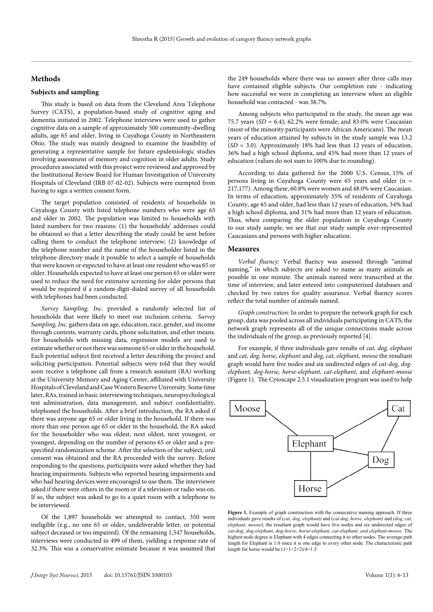# **Methods**

# **Subjects and sampling**

This study is based on data from the Cleveland Area Telephone Survey (CATS), a population-based study of cognitive aging and dementia initiated in 2002. Telephone interviews were used to gather cognitive data on a sample of approximately 500 community-dwelling adults, age 65 and older, living in Cuyahoga County in Northeastern Ohio. The study was mainly designed to examine the feasibility of generating a representative sample for future epidemiologic studies involving assessment of memory and cognition in older adults. Study procedures associated with this project were reviewed and approved by the Institutional Review Board for Human Investigation of University Hospitals of Cleveland (IRB 07-02-02). Subjects were exempted from having to sign a written consent form.

The target population consisted of residents of households in Cuyahoga County with listed telephone numbers who were age 65 and older in 2002. The population was limited to households with listed numbers for two reasons: (1) the households' addresses could be obtained so that a letter describing the study could be sent before calling them to conduct the telephone interview; (2) knowledge of the telephone number and the name of the householder listed in the telephone directory made it possible to select a sample of households that were known or expected to have at least one resident who was 65 or older. Households expected to have at least one person 65 or older were used to reduce the need for extensive screening for older persons that would be required if a random-digit-dialed survey of all households with telephones had been conducted.

*Survey Sampling, Inc.* provided a randomly selected list of households that were likely to meet our inclusion criteria. *Survey Sampling, Inc.* gathers data on age, education, race, gender, and income through contests, warranty cards, phone solicitation, and other means. For households with missing data, regression models are used to estimate whether or not there was someone 65 or older in the household. Each potential subject first received a letter describing the project and soliciting participation. Potential subjects were told that they would soon receive a telephone call from a research assistant (RA) working at the University Memory and Aging Center, affiliated with University Hospitals of Cleveland and Case Western Reserve University. Some time later, RAs, trained in basic interviewing techniques, neuropsychological test administration, data management, and subject confidentiality, telephoned the households. After a brief introduction, the RA asked if there was anyone age 65 or older living in the household. If there was more than one person age 65 or older in the household, the RA asked for the householder who was oldest, next oldest, next youngest, or youngest, depending on the number of persons 65 or older and a prespecified randomization scheme. After the selection of the subject, oral consent was obtained and the RA proceeded with the survey. Before responding to the questions, participants were asked whether they had hearing impairments. Subjects who reported hearing impairments and who had hearing devices were encouraged to use them. The interviewer asked if there were others in the room or if a television or radio was on. If so, the subject was asked to go to a quiet room with a telephone to be interviewed.

Of the 1,897 households we attempted to contact, 350 were ineligible (e.g., no one 65 or older, undeliverable letter, or potential subject deceased or too impaired). Of the remaining 1,547 households, interviews were conducted in 499 of them, yielding a response rate of 32.3%. This was a conservative estimate because it was assumed that

the 249 households where there was no answer after three calls may have contained eligible subjects. Our completion rate - indicating how successful we were in completing an interview when an eligible household was contacted - was 38.7%.

Among subjects who participated in the study, the mean age was 75.7 years ( $SD = 6.4$ ); 62.2% were female; and 83.0% were Caucasian (most of the minority participants were African Americans). The mean years of education attained by subjects in the study sample was 13.2 (*SD* = 3.0). Approximately 18% had less than 12 years of education, 36% had a high school diploma, and 45% had more than 12 years of education (values do not sum to 100% due to rounding).

According to data gathered for the 2000 U.S. Census, 15% of persons living in Cuyahoga County were 65 years and older (n = 217,177). Among these, 60.8% were women and 48.0% were Caucasian. In terms of education, approximately 35% of residents of Cuyahoga County, age 65 and older, had less than 12 years of education, 34% had a high school diploma, and 31% had more than 12 years of education. Thus, when comparing the older population in Cuyahoga County to our study sample, we see that our study sample over-represented Caucasians and persons with higher education.

#### **Measures**

*Verbal fluency:* Verbal fluency was assessed through "animal naming," in which subjects are asked to name as many animals as possible in one minute. The animals named were transcribed at the time of interview, and later entered into computerized databases and checked by two raters for quality assurance. Verbal fluency scores reflect the total number of animals named.

*Graph construction:* In order to prepare the network graph for each group, data was pooled across all individuals participating in CATS; the network graph represents all of the unique connections made across the individuals of the group, as previously reported [4].

For example, if three individuals gave results of *cat, dog, elephant*  and *cat, dog, horse, elephant* and *dog, cat, elephant, moose* the resultant graph would have five nodes and six undirected edges of *cat-dog, dogelephant, dog-horse, horse-elephant, cat-elephant,* and *elephant-moose*  (Figure 1).The Cytoscape 2.5.1 visualization program was used to help



Figure 1. Example of graph construction with the consecutive naming approach. If three individuals gave results of (*cat, dog, elephant)* and (*cat dog, horse, elephant)* and (*dog, cat, elephant, moose*), the resultant graph would have five nodes and six undirected edges of *cat-dog, dog-elephant, dog-horse, horse-elephant, cat-elephant, and elephant-moose.* The highest node degree is Elephant with 4 edges connecting it to other nodes. The average path length for Elephant is 1.0 since it is one edge to every other node. The characteristic path length for horse would be  $(1+1+2+2)/4=1.5$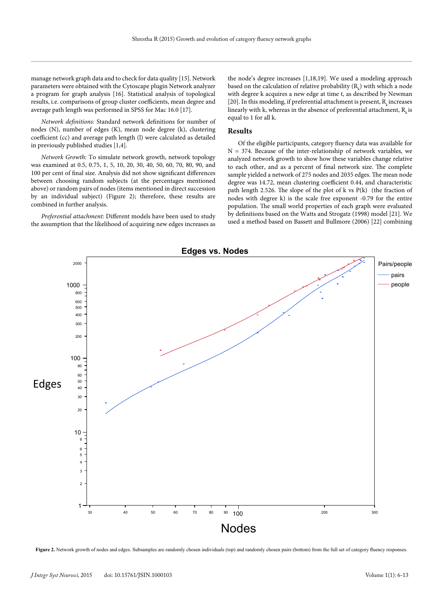manage network graph data and to check for data quality [15]. Network parameters were obtained with the Cytoscape plugin Network analyzer a program for graph analysis [16]. Statistical analysis of topological results, i.e. comparisons of group cluster coefficients, mean degree and average path length was performed in SPSS for Mac 16.0 [17].

*Network definitions:* Standard network definitions for number of nodes (N), number of edges (K), mean node degree (k), clustering coefficient (cc) and average path length (l) were calculated as detailed in previously published studies [1,4].

*Network Growth:* To simulate network growth, network topology was examined at 0.5, 0.75, 1, 5, 10, 20, 30, 40, 50, 60, 70, 80, 90, and 100 per cent of final size. Analysis did not show significant differences between choosing random subjects (at the percentages mentioned above) or random pairs of nodes (items mentioned in direct succession by an individual subject) (Figure 2); therefore, these results are combined in further analysis.

*Preferential attachment:* Different models have been used to study the assumption that the likelihood of acquiring new edges increases as

the node's degree increases [1,18,19]. We used a modeling approach based on the calculation of relative probability  $(R_{k})$  with which a node with degree k acquires a new edge at time t, as described by Newman [20]. In this modeling, if preferential attachment is present,  $R_{\mu}$  increases linearly with k, whereas in the absence of preferential attachment,  $R<sub>i</sub>$  is equal to 1 for all k.

# **Results**

Of the eligible participants, category fluency data was available for  $N = 374$ . Because of the inter-relationship of network variables, we analyzed network growth to show how these variables change relative to each other, and as a percent of final network size. The complete sample yielded a network of 275 nodes and 2035 edges. The mean node degree was 14.72, mean clustering coefficient 0.44, and characteristic path length 2.526. The slope of the plot of k vs P(k) (the fraction of nodes with degree k) is the scale free exponent -0.79 for the entire population. The small world properties of each graph were evaluated by definitions based on the Watts and Strogatz (1998) model [21]. We used a method based on Bassett and Bullmore (2006) [22] combining



Figure 2. Network growth of nodes and edges. Subsamples are randomly chosen individuals (top) and randomly chosen pairs (bottom) from the full set of category fluency responses.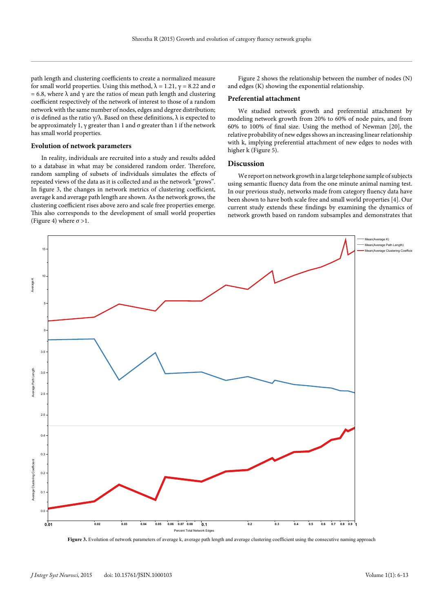path length and clustering coefficients to create a normalized measure for small world properties. Using this method, λ = 1.21, γ = 8.22 and σ = 6.8, where  $\lambda$  and  $\gamma$  are the ratios of mean path length and clustering coefficient respectively of the network of interest to those of a random network with the same number of nodes, edges and degree distribution; σ is defined as the ratio γ/λ. Based on these definitions, λ is expected to be approximately 1,  $\gamma$  greater than 1 and  $\sigma$  greater than 1 if the network has small world properties.

#### **Evolution of network parameters**

In reality, individuals are recruited into a study and results added to a database in what may be considered random order. Therefore, random sampling of subsets of individuals simulates the effects of repeated views of the data as it is collected and as the network "grows". In figure 3, the changes in network metrics of clustering coefficient, average k and average path length are shown. As the network grows, the clustering coefficient rises above zero and scale free properties emerge. This also corresponds to the development of small world properties (Figure 4) where  $\sigma > 1$ .

Figure 2 shows the relationship between the number of nodes (N) and edges (K) showing the exponential relationship.

#### **Preferential attachment**

We studied network growth and preferential attachment by modeling network growth from 20% to 60% of node pairs, and from 60% to 100% of final size. Using the method of Newman [20], the relative probability of new edges shows an increasing linear relationship with k, implying preferential attachment of new edges to nodes with higher k (Figure 5).

#### **Discussion**

We report on network growth in a large telephone sample of subjects using semantic fluency data from the one minute animal naming test. In our previous study, networks made from category fluency data have been shown to have both scale free and small world properties [4]. Our current study extends these findings by examining the dynamics of network growth based on random subsamples and demonstrates that



Figure 3. Evolution of network parameters of average k, average path length and average clustering coefficient using the consecutive naming approach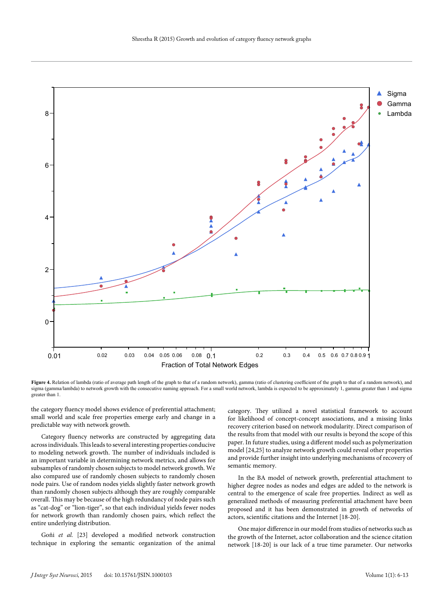

**Figure 4.** Relation of lambda (ratio of average path length of the graph to that of a random network), gamma (ratio of clustering coefficient of the graph to that of a random network), and sigma (gamma/lambda) to network growth with the consecutive naming approach. For a small world network, lambda is expected to be approximately 1, gamma greater than 1 and sigma greater than 1.

the category fluency model shows evidence of preferential attachment; small world and scale free properties emerge early and change in a predictable way with network growth.

Category fluency networks are constructed by aggregating data across individuals. This leads to several interesting properties conducive to modeling network growth. The number of individuals included is an important variable in determining network metrics, and allows for subsamples of randomly chosen subjects to model network growth. We also compared use of randomly chosen subjects to randomly chosen node pairs. Use of random nodes yields slightly faster network growth than randomly chosen subjects although they are roughly comparable overall. This may be because of the high redundancy of node pairs such as "cat-dog" or "lion-tiger", so that each individual yields fewer nodes for network growth than randomly chosen pairs, which reflect the entire underlying distribution.

Goñi *et al.* [23] developed a modified network construction technique in exploring the semantic organization of the animal category. They utilized a novel statistical framework to account for likelihood of concept-concept associations, and a missing links recovery criterion based on network modularity. Direct comparison of the results from that model with our results is beyond the scope of this paper. In future studies, using a different model such as polymerization model [24,25] to analyze network growth could reveal other properties and provide further insight into underlying mechanisms of recovery of semantic memory.

In the BA model of network growth, preferential attachment to higher degree nodes as nodes and edges are added to the network is central to the emergence of scale free properties. Indirect as well as generalized methods of measuring preferential attachment have been proposed and it has been demonstrated in growth of networks of actors, scientific citations and the Internet [18-20].

One major difference in our model from studies of networks such as the growth of the Internet, actor collaboration and the science citation network [18-20] is our lack of a true time parameter. Our networks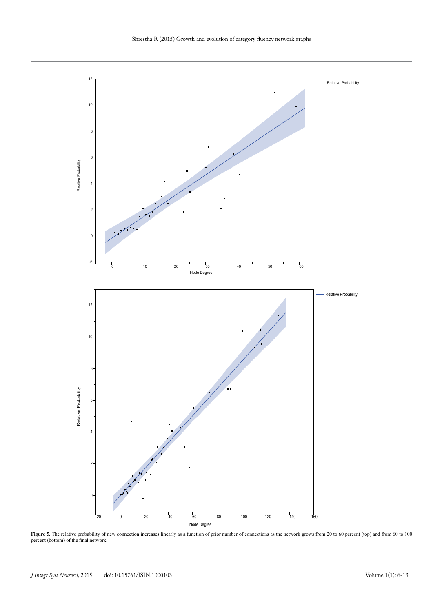

**Figure 5.** The relative probability of new connection increases linearly as a function of prior number of connections as the network grows from 20 to 60 percent (top) and from 60 to 100 percent (bottom) of the final network.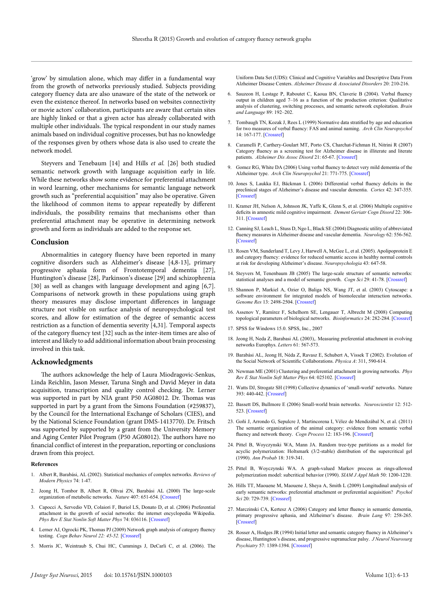'grow' by simulation alone, which may differ in a fundamental way from the growth of networks previously studied. Subjects providing category fluency data are also unaware of the state of the network or even the existence thereof. In networks based on websites connectivity or movie actors' collaboration, participants are aware that certain sites are highly linked or that a given actor has already collaborated with multiple other individuals. The typical respondent in our study names animals based on individual cognitive processes, but has no knowledge of the responses given by others whose data is also used to create the network model.

Steyvers and Tenebaum [14] and Hills *et al.* [26] both studied semantic network growth with language acquisition early in life. While these networks show some evidence for preferential attachment in word learning, other mechanisms for semantic language network growth such as "preferential acquisition" may also be operative. Given the likelihood of common items to appear repeatedly by different individuals, the possibility remains that mechanisms other than preferential attachment may be operative in determining network growth and form as individuals are added to the response set.

# **Conclusion**

Abnormalities in category fluency have been reported in many cognitive disorders such as Alzheimer's disease [4,8-13], primary progressive aphasia form of Frontotemporal dementia [27], Huntington's disease [28], Parkinson's disease [29] and schizophrenia [30] as well as changes with language development and aging [6,7]. Comparisons of network growth in these populations using graph theory measures may disclose important differences in language structure not visible on surface analysis of neuropsychological test scores, and allow for estimation of the degree of semantic access restriction as a function of dementia severity [4,31]. Temporal aspects of the category fluency test [32] such as the inter-item times are also of interest and likely to add additional information about brain processing involved in this task.

# **Acknowledgments**

The authors acknowledge the help of Laura Miodragovic-Senkus, Linda Reichlin, Jason Messer, Taruna Singh and David Meyer in data acquisition, transcription and quality control checking. Dr. Lerner was supported in part by NIA grant P50 AG08012. Dr. Thomas was supported in part by a grant from the Simons Foundation (#259837), by the Council for the International Exchange of Scholars (CIES), and by the National Science Foundation (grant DMS-1413770). Dr. Fritsch was supported by supported by a grant from the University Memory and Aging Center Pilot Program (P50 AG08012). The authors have no financial conflict of interest in the preparation, reporting or conclusions drawn from this project.

#### **References**

- 1. Albert R, Barabási, AL (2002). Statistical mechanics of complex networks. *Reviews of Modern Physics* 74: 1-47.
- 2. Jeong H, Tombor B, Albert R, Oltvai ZN, Barabási AL (2000) The large-scale organization of metabolic networks. *Nature* 407: 651-654. [[Crossref\]](http://www.ncbi.nlm.nih.gov/pubmed/11034217)
- 3. Capocci A, Servedio VD, Colaiori F, Buriol LS, Donato D, et al. (2006) Preferential attachment in the growth of social networks: the internet encyclopedia Wikipedia. *Phys Rev E Stat Nonlin Soft Matter Phys* 74: 036116. [\[Crossref\]](http://www.ncbi.nlm.nih.gov/pubmed/17025717)
- 4. Lerner AJ, Ogrocki PK, Thomas PJ (2009) Network graph analysis of category fluency testing. *Cogn Behav Neurol 22: 45-52.* [\[Crossref](http://www.ncbi.nlm.nih.gov/pubmed/19372770)]
- 5. Morris JC, Weintraub S, Chui HC, Cummings J, DeCarli C, et al. (2006). The

Uniform Data Set (UDS): Clinical and Cognitive Variables and Descriptive Data From Alzheimer Disease Centers. *Alzheimer Disease & Associated Disorders* 20: 210-216.

- 6. Sauzeon H, Lestage P, Raboutet C, Kaoua BN, Claverie B (2004). Verbal fluency output in children aged 7–16 as a function of the production criterion: Qualitative analysis of clustering, switching processes, and semantic network exploitation. *Brain and Language* 89: 192–202.
- 7. Tombaugh TN, Kozak J, Rees L (1999) Normative data stratified by age and education for two measures of verbal fluency: FAS and animal naming. *Arch Clin Neuropsychol* 14: 167-177. [\[Crossref](http://www.ncbi.nlm.nih.gov/pubmed/14590600)]
- 8. Caramelli P, Carthery-Goulart MT, Porto CS, Charchat-Fichman H, Nitrini R (2007) Category fluency as a screening test for Alzheimer disease in illiterate and literate patients. *Alzheimer Dis Assoc Disord* 21: 65-67. [\[Crossref](http://www.ncbi.nlm.nih.gov/pubmed/17334275)]
- Gomez RG, White DA (2006) Using verbal fluency to detect very mild dementia of the Alzheimer type. *Arch Clin Neuropsychol* 21: 771-775. [[Crossref\]](http://www.ncbi.nlm.nih.gov/pubmed/17011743)
- 10. Jones S, Laukka EJ, Bäckman L (2006) Differential verbal fluency deficits in the preclinical stages of Alzheimer's disease and vascular dementia. *Cortex* 42: 347-355. [[Crossref\]](http://www.ncbi.nlm.nih.gov/pubmed/16771040)
- 11. Kramer JH, Nelson A, Johnson JK, Yaffe K, Glenn S, et al. (2006) Multiple cognitive deficits in amnestic mild cognitive impairment. *Dement Geriatr Cogn Disord* 22: 306- 311. [[Crossref\]](http://www.ncbi.nlm.nih.gov/pubmed/16931884)
- 12. Canning SJ, Leach L, Stuss D, Ngo L, Black SE (2004) Diagnostic utility of abbreviated fluency measures in Alzheimer disease and vascular dementia. *Neurology* 62: 556-562. [[Crossre](http://www.ncbi.nlm.nih.gov/pubmed/14981170)f]
- 13. Rosen VM, Sunderland T, Levy J, Harwell A, McGee L, et al. (2005). Apolipoprotein E and category fluency: evidence for reduced semantic access in healthy normal controls at risk for developing Alzheimer's disease. *Neuropsychologia* 43: 647-58.
- 14. Steyvers M, Tenenbaum JB (2005) The large-scale structure of semantic networks: statistical analyses and a model of semantic growth. *Cogn Sci* 29: 41-78. [[Crossref](http://www.ncbi.nlm.nih.gov/pubmed/21702767)]
- 15. Shannon P, Markiel A, Ozier O, Baliga NS, Wang JT, et al. (2003) Cytoscape: a software environment for integrated models of biomolecular interaction networks. *Genome Res* 13: 2498-2504. [\[Crossref](http://www.ncbi.nlm.nih.gov/pubmed/14597658)]
- 16. Assenov Y, Ramírez F, Schelhorn SE, Lengauer T, Albrecht M (2008) Computing topological parameters of biological networks. *Bioinformatics* 24: 282-284. [[Crossref\]](http://www.ncbi.nlm.nih.gov/pubmed/18006545)
- 17. SPSS for Windows 15.0. SPSS, Inc., 2007
- 18. Jeong H, Neda Z, Barabasi AL (2003),. Measuring preferential attachment in evolving networks Europhys. *Letters* 61: 567-573.
- 19. Barabási AL, Jeong H, Néda Z, Ravasz E, Schubert A, Vissek T (2002). Evolution of the Social Network of Scientific Collaborations. *Physica A*: 311, 590-614.
- 20. Newman ME (2001) Clustering and preferential attachment in growing networks. *Phys Rev E Stat Nonlin Soft Matter Phys* 64: 025102. [[Crossref](http://www.ncbi.nlm.nih.gov/pubmed/11497639)]
- 21. Watts DJ, Strogatz SH (1998) Collective dynamics of 'small-world' networks. Nature 393: 440-442. [[Crossref\]](http://www.ncbi.nlm.nih.gov/pubmed/9623998)
- 22. Bassett DS, Bullmore E (2006) Small-world brain networks. *Neuroscientist* 12: 512- 523. [[Crossref\]](http://www.ncbi.nlm.nih.gov/pubmed/17079517)
- 23. Goñi J, Arrondo G, Sepulcre J, Martincorena I, Vélez de Mendizábal N, et al. (2011) The semantic organization of the animal category: evidence from semantic verbal fluency and network theory. *Cogn Process* 12: 183-196. [\[Crossref](http://www.ncbi.nlm.nih.gov/pubmed/20938799)]
- 24. Pittel B, Woyczynski WA, Mann JA. Random tree-type partitions as a model for acyclic polymerization: Holtsmark (3/2-stable) distribution of the supercritical gel (1990). *Ann Probab* 18: 319-341.
- 25. Pittel B, Woyczynski WA. A graph-valued Markov process as rings-allowed polymerization model: subcritical behavior (1990). *SIAM J Appl Math* 50: 1200-1220.
- 26. Hills TT, Maouene M, Maouene J, Sheya A, Smith L (2009) Longitudinal analysis of early semantic networks: preferential attachment or preferential acquisition? *Psychol Sci* 20: 729-739. [[Crossref](http://www.ncbi.nlm.nih.gov/pubmed/19470123)]
- 27. Marczinski CA, Kertesz A (2006) Category and letter fluency in semantic dementia, primary progressive aphasia, and Alzheimer's disease. *Brain Lang* 97: 258-265. [[Crossref\]](http://www.ncbi.nlm.nih.gov/pubmed/16325251)
- 28. Rosser A, Hodges JR (1994) Initial letter and semantic category fluency in Alzheimer's disease, Huntington's disease, and progressive supranuclear palsy. *J Neurol Neurosurg Psychiatry* 57: 1389-1394. [\[Crossref\]](http://www.ncbi.nlm.nih.gov/pubmed/7964817)